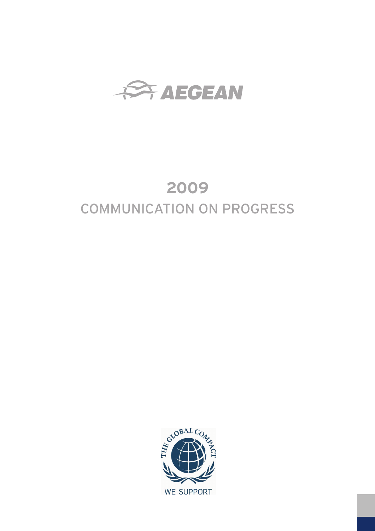

# **2009** COMMUNICATION ON PROGRESS

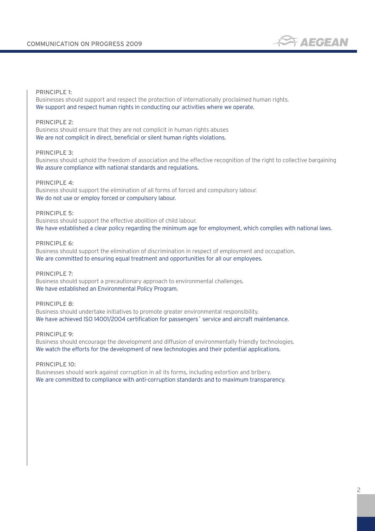

#### PRINCIPLE 1:

Businesses should support and respect the protection of internationally proclaimed human rights. We support and respect human rights in conducting our activities where we operate.

## PRINCIPLE 2:

Business should ensure that they are not complicit in human rights abuses We are not complicit in direct, beneficial or silent human rights violations.

#### PRINCIPLE 3:

Business should uphold the freedom of association and the effective recognition of the right to collective bargaining We assure compliance with national standards and regulations.

#### PRINCIPLE 4:

Business should support the elimination of all forms of forced and compulsory labour. We do not use or employ forced or compulsory labour.

#### PRINCIPLE 5:

Business should support the effective abolition of child labour. We have established a clear policy regarding the minimum age for employment, which complies with national laws.

## PRINCIPLE 6:

Business should support the elimination of discrimination in respect of employment and occupation. We are committed to ensuring equal treatment and opportunities for all our employees.

PRINCIPLE 7:

Business should support a precautionary approach to environmental challenges. We have established an Environmental Policy Program.

## PRINCIPLE 8:

Business should undertake initiatives to promote greater environmental responsibility. We have achieved ISO 14001/2004 certification for passengers΄ service and aircraft maintenance.

#### PRINCIPLE 9:

Business should encourage the development and diffusion of environmentally friendly technologies. We watch the efforts for the development of new technologies and their potential applications.

PRINCIPLE 10:

Businesses should work against corruption in all its forms, including extortion and bribery. We are committed to compliance with anti-corruption standards and to maximum transparency.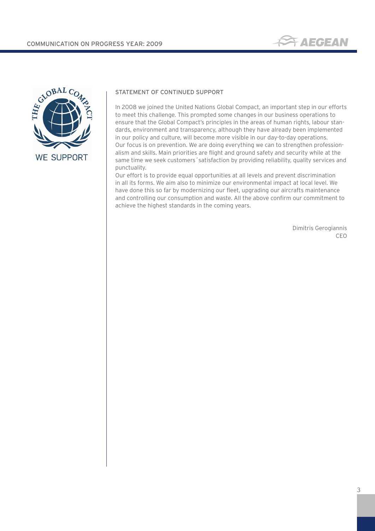



## STATEMENT OF CONTINUED SUPPORT

In 2008 we joined the United Nations Global Compact, an important step in our efforts to meet this challenge. This prompted some changes in our business operations to ensure that the Global Compact's principles in the areas of human rights, labour standards, environment and transparency, although they have already been implemented in our policy and culture, will become more visible in our day-to-day operations. Our focus is on prevention. We are doing everything we can to strengthen professionalism and skills. Main priorities are flight and ground safety and security while at the same time we seek customers΄satisfaction by providing reliability, quality services and punctuality.

Our effort is to provide equal opportunities at all levels and prevent discrimination in all its forms. We aim also to minimize our environmental impact at local level. We have done this so far by modernizing our fleet, upgrading our aircrafts maintenance and controlling our consumption and waste. All the above confirm our commitment to achieve the highest standards in the coming years.

> Dimitris Gerogiannis CEO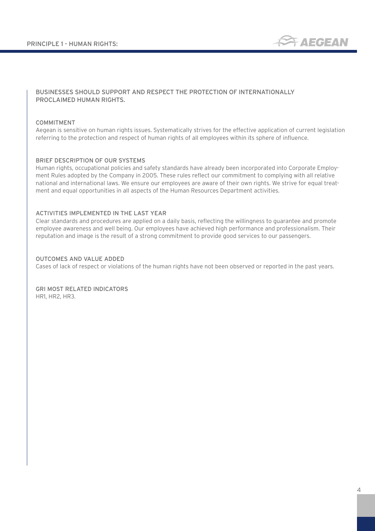

## BUSINESSES SHOULD SUPPORT AND RESPECT THE PROTECTION OF INTERNATIONALLY PROCLAIMED HUMAN RIGHTS.

#### COMMITMENT

Aegean is sensitive on human rights issues. Systematically strives for the effective application of current legislation referring to the protection and respect of human rights of all employees within its sphere of influence.

#### BRIEF DESCRIPTION OF OUR SYSTEMS

Human rights, occupational policies and safety standards have already been incorporated into Corporate Employment Rules adopted by the Company in 2005. These rules reflect our commitment to complying with all relative national and international laws. We ensure our employees are aware of their own rights. We strive for equal treatment and equal opportunities in all aspects of the Human Resources Department activities.

#### ACTIVITIES IMPLEMENTED IN THE LAST YEAR

Clear standards and procedures are applied on a daily basis, reflecting the willingness to guarantee and promote employee awareness and well being. Our employees have achieved high performance and professionalism. Their reputation and image is the result of a strong commitment to provide good services to our passengers.

## OUTCOMES AND VALUE ADDED

Cases of lack of respect or violations of the human rights have not been observed or reported in the past years.

GRI MOST RELATED INDICATORS HR1, HR2, HR3.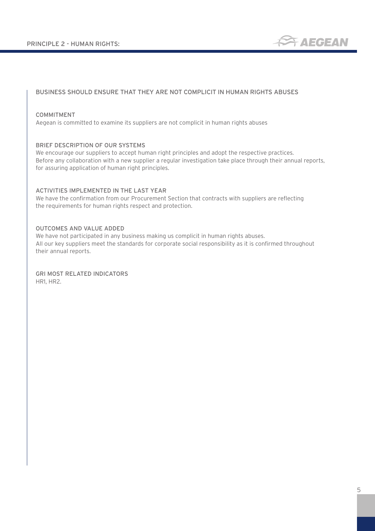

## BUSINESS SHOULD ENSURE THAT THEY ARE NOT COMPLICIT IN HUMAN RIGHTS ABUSES

#### COMMITMENT

Aegean is committed to examine its suppliers are not complicit in human rights abuses

#### BRIEF DESCRIPTION OF OUR SYSTEMS

We encourage our suppliers to accept human right principles and adopt the respective practices. Before any collaboration with a new supplier a regular investigation take place through their annual reports, for assuring application of human right principles.

## ACTIVITIES IMPLEMENTED IN THE LAST YEAR

We have the confirmation from our Procurement Section that contracts with suppliers are reflecting the requirements for human rights respect and protection.

#### OUTCOMES AND VALUE ADDED

We have not participated in any business making us complicit in human rights abuses. All our key suppliers meet the standards for corporate social responsibility as it is confirmed throughout their annual reports.

GRI MOST RELATED INDICATORS HR1, HR2.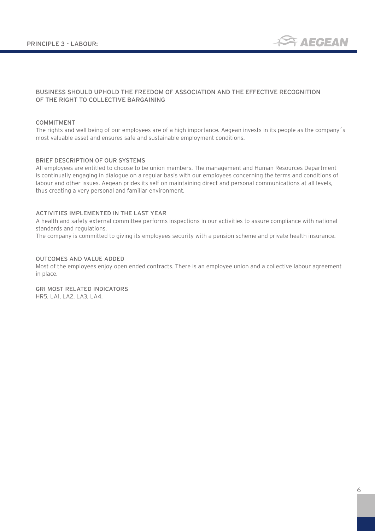

## BUSINESS SHOULD UPHOLD THE FREEDOM OF ASSOCIATION AND THE EFFECTIVE RECOGNITION OF THE RIGHT TO COLLECTIVE BARGAINING

## COMMITMENT

The rights and well being of our employees are of a high importance. Aegean invests in its people as the company΄s most valuable asset and ensures safe and sustainable employment conditions.

#### BRIEF DESCRIPTION OF OUR SYSTEMS

All employees are entitled to choose to be union members. The management and Human Resources Department is continually engaging in dialogue on a regular basis with our employees concerning the terms and conditions of labour and other issues. Aegean prides its self on maintaining direct and personal communications at all levels, thus creating a very personal and familiar environment.

## ACTIVITIES IMPLEMENTED IN THE LAST YEAR

A health and safety external committee performs inspections in our activities to assure compliance with national standards and regulations.

The company is committed to giving its employees security with a pension scheme and private health insurance.

## OUTCOMES AND VALUE ADDED

Most of the employees enjoy open ended contracts. There is an employee union and a collective labour agreement in place.

GRI MOST RELATED INDICATORS HR5, LA1, LA2, LA3, LA4.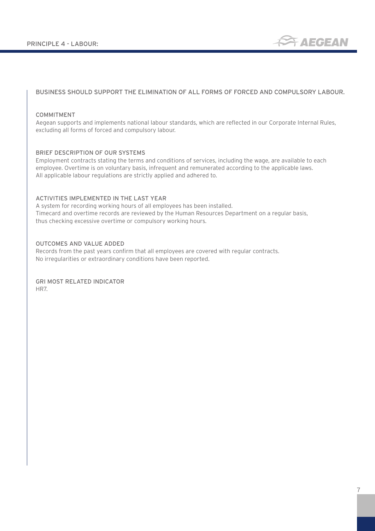

## BUSINESS SHOULD SUPPORT THE ELIMINATION OF ALL FORMS OF FORCED AND COMPULSORY LABOUR.

#### COMMITMENT

Aegean supports and implements national labour standards, which are reflected in our Corporate Internal Rules, excluding all forms of forced and compulsory labour.

#### BRIEF DESCRIPTION OF OUR SYSTEMS

Employment contracts stating the terms and conditions of services, including the wage, are available to each employee. Overtime is on voluntary basis, infrequent and remunerated according to the applicable laws. All applicable labour regulations are strictly applied and adhered to.

## ACTIVITIES IMPLEMENTED IN THE LAST YEAR

A system for recording working hours of all employees has been installed. Timecard and overtime records are reviewed by the Human Resources Department on a regular basis, thus checking excessive overtime or compulsory working hours.

## OUTCOMES AND VALUE ADDED

Records from the past years confirm that all employees are covered with regular contracts. No irregularities or extraordinary conditions have been reported.

GRI MOST RELATED INDICATOR HR7.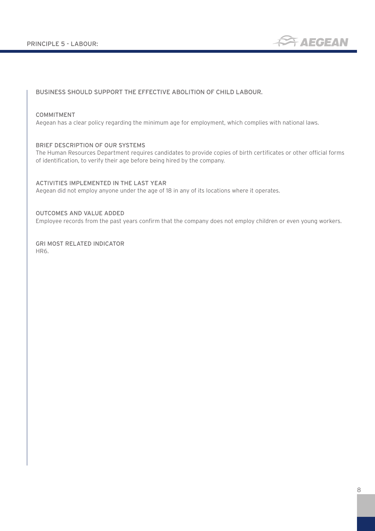

## BUSINESS SHOULD SUPPORT THE EFFECTIVE ABOLITION OF CHILD LABOUR.

## COMMITMENT

Aegean has a clear policy regarding the minimum age for employment, which complies with national laws.

#### BRIEF DESCRIPTION OF OUR SYSTEMS

The Human Resources Department requires candidates to provide copies of birth certificates or other official forms of identification, to verify their age before being hired by the company.

## ACTIVITIES IMPLEMENTED IN THE LAST YEAR

Aegean did not employ anyone under the age of 18 in any of its locations where it operates.

#### OUTCOMES AND VALUE ADDED

Employee records from the past years confirm that the company does not employ children or even young workers.

GRI MOST RELATED INDICATOR HR6.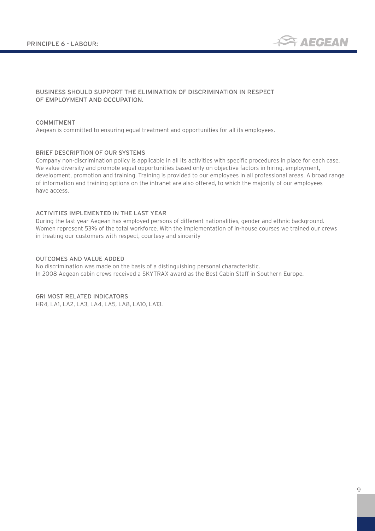

## BUSINESS SHOULD SUPPORT THE ELIMINATION OF DISCRIMINATION IN RESPECT OF EMPLOYMENT AND OCCUPATION.

#### COMMITMENT

Aegean is committed to ensuring equal treatment and opportunities for all its employees.

#### BRIEF DESCRIPTION OF OUR SYSTEMS

Company non-discrimination policy is applicable in all its activities with specific procedures in place for each case. We value diversity and promote equal opportunities based only on objective factors in hiring, employment, development, promotion and training. Training is provided to our employees in all professional areas. A broad range of information and training options on the intranet are also offered, to which the majority of our employees have access.

#### ACTIVITIES IMPLEMENTED IN THE LAST YEAR

During the last year Aegean has employed persons of different nationalities, gender and ethnic background. Women represent 53% of the total workforce. With the implementation of in-house courses we trained our crews in treating our customers with respect, courtesy and sincerity

## OUTCOMES AND VALUE ADDED

No discrimination was made on the basis of a distinguishing personal characteristic. In 2008 Aegean cabin crews received a SKYTRAX award as the Best Cabin Staff in Southern Europe.

#### GRI MOST RELATED INDICATORS

HR4, LA1, LA2, LA3, LA4, LA5, LA8, LA10, LA13.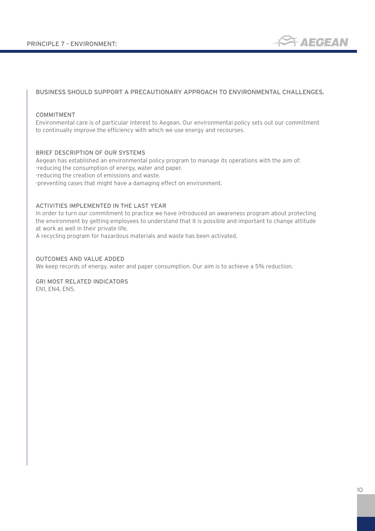

## BUSINESS SHOULD SUPPORT A PRECAUTIONARY APPROACH TO ENVIRONMENTAL CHALLENGES.

#### COMMITMENT

Environmental care is of particular interest to Aegean. Our environmental policy sets out our commitment to continually improve the efficiency with which we use energy and recourses.

#### BRIEF DESCRIPTION OF OUR SYSTEMS

Aegean has established an environmental policy program to manage its operations with the aim of: -reducing the consumption of energy, water and paper. -reducing the creation of emissions and waste. -preventing cases that might have a damaging effect on environment.

## ACTIVITIES IMPLEMENTED IN THE LAST YEAR

In order to turn our commitment to practice we have introduced an awareness program about protecting the environment by getting employees to understand that it is possible and important to change attitude at work as well in their private life.

A recycling program for hazardous materials and waste has been activated.

## OUTCOMES AND VALUE ADDED

We keep records of energy, water and paper consumption. Our aim is to achieve a 5% reduction.

GRI MOST RELATED INDICATORS EN1, EN4, EN5.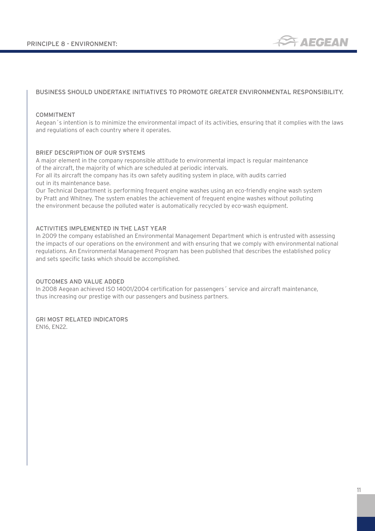

## BUSINESS SHOULD UNDERTAKE INITIATIVES TO PROMOTE GREATER ENVIRONMENTAL RESPONSIBILITY.

#### COMMITMENT

Aegean΄s intention is to minimize the environmental impact of its activities, ensuring that it complies with the laws and regulations of each country where it operates.

#### BRIEF DESCRIPTION OF OUR SYSTEMS

A major element in the company responsible attitude to environmental impact is regular maintenance of the aircraft, the majority of which are scheduled at periodic intervals.

For all its aircraft the company has its own safety auditing system in place, with audits carried out in its maintenance base.

Our Technical Department is performing frequent engine washes using an eco-friendly engine wash system by Pratt and Whitney. The system enables the achievement of frequent engine washes without polluting the environment because the polluted water is automatically recycled by eco-wash equipment.

## ACTIVITIES IMPLEMENTED IN THE LAST YEAR

In 2009 the company established an Environmental Management Department which is entrusted with assessing the impacts of our operations on the environment and with ensuring that we comply with environmental national regulations. An Environmental Management Program has been published that describes the established policy and sets specific tasks which should be accomplished.

#### OUTCOMES AND VALUE ADDED

In 2008 Aegean achieved ISO 14001/2004 certification for passengers΄ service and aircraft maintenance, thus increasing our prestige with our passengers and business partners.

## GRI MOST RELATED INDICATORS

EN16, EN22.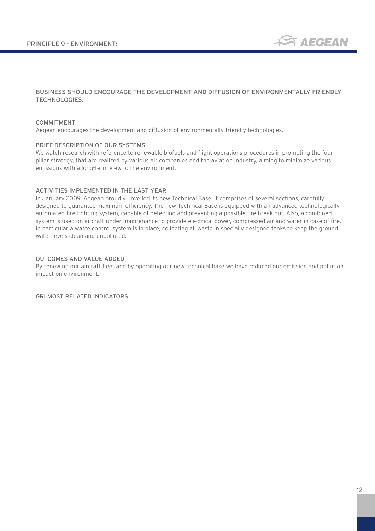

## BUSINESS SHOULD ENCOURAGE THE DEVELOPMENT AND DIFFUSION OF ENVIRONMENTALLY FRIENDLY TECHNOLOGIES.

#### COMMITMENT

Aegean encourages the development and diffusion of environmentally friendly technologies.

#### BRIEF DESCRIPTION OF OUR SYSTEMS

We watch research with reference to renewable biofuels and flight operations procedures in promoting the four pillar strategy, that are realized by various air companies and the aviation industry, aiming to minimize various emissions with a long-term view to the environment.

## ACTIVITIES IMPLEMENTED IN THE LAST YEAR

In January 2009, Aegean proudly unveiled its new Technical Base. It comprises of several sections, carefully designed to guarantee maximum efficiency. The new Technical Base is equipped with an advanced technologically automated fire fighting system, capable of detecting and preventing a possible fire break out. Also, a combined system is used on aircraft under maintenance to provide electrical power, compressed air and water in case of fire. In particular a waste control system is in place, collecting all waste in specially designed tanks to keep the ground water levels clean and unpolluted.

## OUTCOMES AND VALUE ADDED

By renewing our aircraft fleet and by operating our new technical base we have reduced our emission and pollution impact on environment.

GRI MOST RELATED INDICATORS